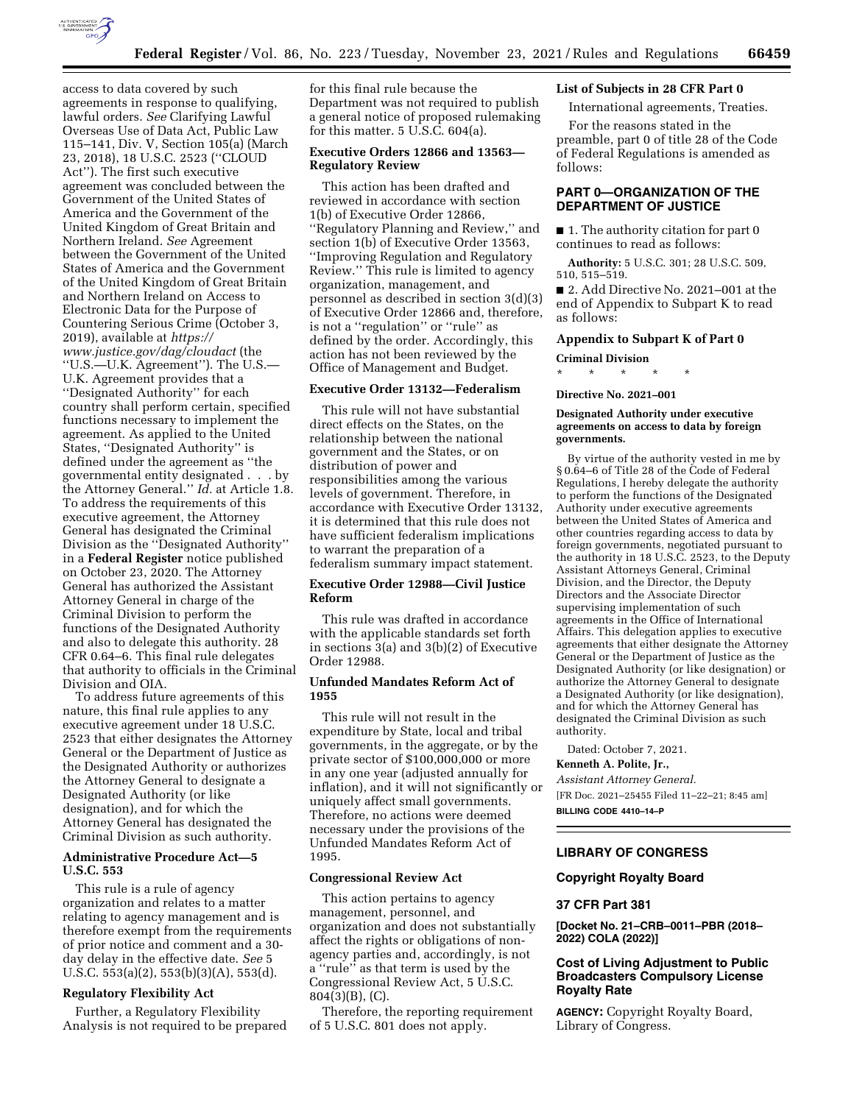

access to data covered by such agreements in response to qualifying, lawful orders. *See* Clarifying Lawful Overseas Use of Data Act, Public Law 115–141, Div. V, Section 105(a) (March 23, 2018), 18 U.S.C. 2523 (''CLOUD Act''). The first such executive agreement was concluded between the Government of the United States of America and the Government of the United Kingdom of Great Britain and Northern Ireland. *See* Agreement between the Government of the United States of America and the Government of the United Kingdom of Great Britain and Northern Ireland on Access to Electronic Data for the Purpose of Countering Serious Crime (October 3, 2019), available at *[https://](https://www.justice.gov/dag/cloudact) [www.justice.gov/dag/cloudact](https://www.justice.gov/dag/cloudact)* (the ''U.S.—U.K. Agreement''). The U.S.— U.K. Agreement provides that a ''Designated Authority'' for each country shall perform certain, specified functions necessary to implement the agreement. As applied to the United States, ''Designated Authority'' is defined under the agreement as ''the governmental entity designated . . . by the Attorney General.'' *Id.* at Article 1.8. To address the requirements of this executive agreement, the Attorney General has designated the Criminal Division as the ''Designated Authority'' in a **Federal Register** notice published on October 23, 2020. The Attorney General has authorized the Assistant Attorney General in charge of the Criminal Division to perform the functions of the Designated Authority and also to delegate this authority. 28 CFR 0.64–6. This final rule delegates that authority to officials in the Criminal Division and OIA.

To address future agreements of this nature, this final rule applies to any executive agreement under 18 U.S.C. 2523 that either designates the Attorney General or the Department of Justice as the Designated Authority or authorizes the Attorney General to designate a Designated Authority (or like designation), and for which the Attorney General has designated the Criminal Division as such authority.

## **Administrative Procedure Act—5 U.S.C. 553**

This rule is a rule of agency organization and relates to a matter relating to agency management and is therefore exempt from the requirements of prior notice and comment and a 30 day delay in the effective date. *See* 5 U.S.C. 553(a)(2), 553(b)(3)(A), 553(d).

# **Regulatory Flexibility Act**

Further, a Regulatory Flexibility Analysis is not required to be prepared for this final rule because the Department was not required to publish a general notice of proposed rulemaking for this matter. 5 U.S.C. 604(a).

# **Executive Orders 12866 and 13563— Regulatory Review**

This action has been drafted and reviewed in accordance with section 1(b) of Executive Order 12866, ''Regulatory Planning and Review,'' and section 1(b) of Executive Order 13563, ''Improving Regulation and Regulatory Review.'' This rule is limited to agency organization, management, and personnel as described in section 3(d)(3) of Executive Order 12866 and, therefore, is not a ''regulation'' or ''rule'' as defined by the order. Accordingly, this action has not been reviewed by the Office of Management and Budget.

## **Executive Order 13132—Federalism**

This rule will not have substantial direct effects on the States, on the relationship between the national government and the States, or on distribution of power and responsibilities among the various levels of government. Therefore, in accordance with Executive Order 13132, it is determined that this rule does not have sufficient federalism implications to warrant the preparation of a federalism summary impact statement.

## **Executive Order 12988—Civil Justice Reform**

This rule was drafted in accordance with the applicable standards set forth in sections 3(a) and 3(b)(2) of Executive Order 12988.

## **Unfunded Mandates Reform Act of 1955**

This rule will not result in the expenditure by State, local and tribal governments, in the aggregate, or by the private sector of \$100,000,000 or more in any one year (adjusted annually for inflation), and it will not significantly or uniquely affect small governments. Therefore, no actions were deemed necessary under the provisions of the Unfunded Mandates Reform Act of 1995.

#### **Congressional Review Act**

This action pertains to agency management, personnel, and organization and does not substantially affect the rights or obligations of nonagency parties and, accordingly, is not a ''rule'' as that term is used by the Congressional Review Act, 5 U.S.C. 804(3)(B), (C).

Therefore, the reporting requirement of 5 U.S.C. 801 does not apply.

# **List of Subjects in 28 CFR Part 0**

International agreements, Treaties.

For the reasons stated in the preamble, part 0 of title 28 of the Code of Federal Regulations is amended as follows:

# **PART 0—ORGANIZATION OF THE DEPARTMENT OF JUSTICE**

■ 1. The authority citation for part 0 continues to read as follows:

**Authority:** 5 U.S.C. 301; 28 U.S.C. 509, 510, 515–519.

■ 2. Add Directive No. 2021–001 at the end of Appendix to Subpart K to read as follows:

## **Appendix to Subpart K of Part 0**

#### **Criminal Division**

\* \* \* \* \*

**Directive No. 2021–001** 

#### **Designated Authority under executive agreements on access to data by foreign governments.**

By virtue of the authority vested in me by § 0.64–6 of Title 28 of the Code of Federal Regulations, I hereby delegate the authority to perform the functions of the Designated Authority under executive agreements between the United States of America and other countries regarding access to data by foreign governments, negotiated pursuant to the authority in 18 U.S.C. 2523, to the Deputy Assistant Attorneys General, Criminal Division, and the Director, the Deputy Directors and the Associate Director supervising implementation of such agreements in the Office of International Affairs. This delegation applies to executive agreements that either designate the Attorney General or the Department of Justice as the Designated Authority (or like designation) or authorize the Attorney General to designate a Designated Authority (or like designation), and for which the Attorney General has designated the Criminal Division as such authority.

Dated: October 7, 2021.

# **Kenneth A. Polite, Jr.,**

*Assistant Attorney General.*  [FR Doc. 2021–25455 Filed 11–22–21; 8:45 am] **BILLING CODE 4410–14–P** 

#### **LIBRARY OF CONGRESS**

#### **Copyright Royalty Board**

## **37 CFR Part 381**

**[Docket No. 21–CRB–0011–PBR (2018– 2022) COLA (2022)]** 

# **Cost of Living Adjustment to Public Broadcasters Compulsory License Royalty Rate**

**AGENCY:** Copyright Royalty Board, Library of Congress.